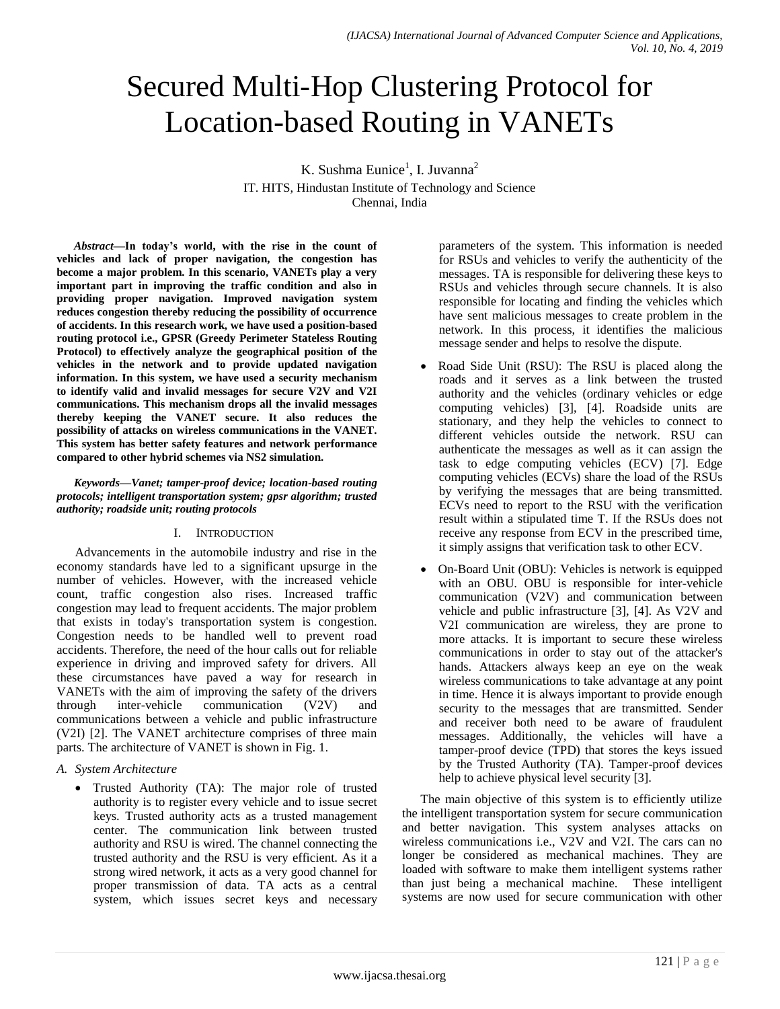# Secured Multi-Hop Clustering Protocol for Location-based Routing in VANETs

K. Sushma Eunice<sup>1</sup>, I. Juvanna<sup>2</sup> IT. HITS, Hindustan Institute of Technology and Science Chennai, India

*Abstract***—In today's world, with the rise in the count of vehicles and lack of proper navigation, the congestion has become a major problem. In this scenario, VANETs play a very important part in improving the traffic condition and also in providing proper navigation. Improved navigation system reduces congestion thereby reducing the possibility of occurrence of accidents. In this research work, we have used a position-based routing protocol i.e., GPSR (Greedy Perimeter Stateless Routing Protocol) to effectively analyze the geographical position of the vehicles in the network and to provide updated navigation information. In this system, we have used a security mechanism to identify valid and invalid messages for secure V2V and V2I communications. This mechanism drops all the invalid messages thereby keeping the VANET secure. It also reduces the possibility of attacks on wireless communications in the VANET. This system has better safety features and network performance compared to other hybrid schemes via NS2 simulation.**

*Keywords—Vanet; tamper-proof device; location-based routing protocols; intelligent transportation system; gpsr algorithm; trusted authority; roadside unit; routing protocols*

## I. INTRODUCTION

Advancements in the automobile industry and rise in the economy standards have led to a significant upsurge in the number of vehicles. However, with the increased vehicle count, traffic congestion also rises. Increased traffic congestion may lead to frequent accidents. The major problem that exists in today's transportation system is congestion. Congestion needs to be handled well to prevent road accidents. Therefore, the need of the hour calls out for reliable experience in driving and improved safety for drivers. All these circumstances have paved a way for research in VANETs with the aim of improving the safety of the drivers through inter-vehicle communication (V2V) and communications between a vehicle and public infrastructure (V2I) [2]. The VANET architecture comprises of three main parts. The architecture of VANET is shown in Fig. 1.

- *A. System Architecture*
	- Trusted Authority (TA): The major role of trusted authority is to register every vehicle and to issue secret keys. Trusted authority acts as a trusted management center. The communication link between trusted authority and RSU is wired. The channel connecting the trusted authority and the RSU is very efficient. As it a strong wired network, it acts as a very good channel for proper transmission of data. TA acts as a central system, which issues secret keys and necessary

parameters of the system. This information is needed for RSUs and vehicles to verify the authenticity of the messages. TA is responsible for delivering these keys to RSUs and vehicles through secure channels. It is also responsible for locating and finding the vehicles which have sent malicious messages to create problem in the network. In this process, it identifies the malicious message sender and helps to resolve the dispute.

- Road Side Unit (RSU): The RSU is placed along the roads and it serves as a link between the trusted authority and the vehicles (ordinary vehicles or edge computing vehicles) [3], [4]. Roadside units are stationary, and they help the vehicles to connect to different vehicles outside the network. RSU can authenticate the messages as well as it can assign the task to edge computing vehicles (ECV) [7]. Edge computing vehicles (ECVs) share the load of the RSUs by verifying the messages that are being transmitted. ECVs need to report to the RSU with the verification result within a stipulated time T. If the RSUs does not receive any response from ECV in the prescribed time, it simply assigns that verification task to other ECV.
- On-Board Unit (OBU): Vehicles is network is equipped with an OBU. OBU is responsible for inter-vehicle communication (V2V) and communication between vehicle and public infrastructure [3], [4]. As V2V and V2I communication are wireless, they are prone to more attacks. It is important to secure these wireless communications in order to stay out of the attacker's hands. Attackers always keep an eye on the weak wireless communications to take advantage at any point in time. Hence it is always important to provide enough security to the messages that are transmitted. Sender and receiver both need to be aware of fraudulent messages. Additionally, the vehicles will have a tamper-proof device (TPD) that stores the keys issued by the Trusted Authority (TA). Tamper-proof devices help to achieve physical level security [3].

The main objective of this system is to efficiently utilize the intelligent transportation system for secure communication and better navigation. This system analyses attacks on wireless communications i.e., V2V and V2I. The cars can no longer be considered as mechanical machines. They are loaded with software to make them intelligent systems rather than just being a mechanical machine. These intelligent systems are now used for secure communication with other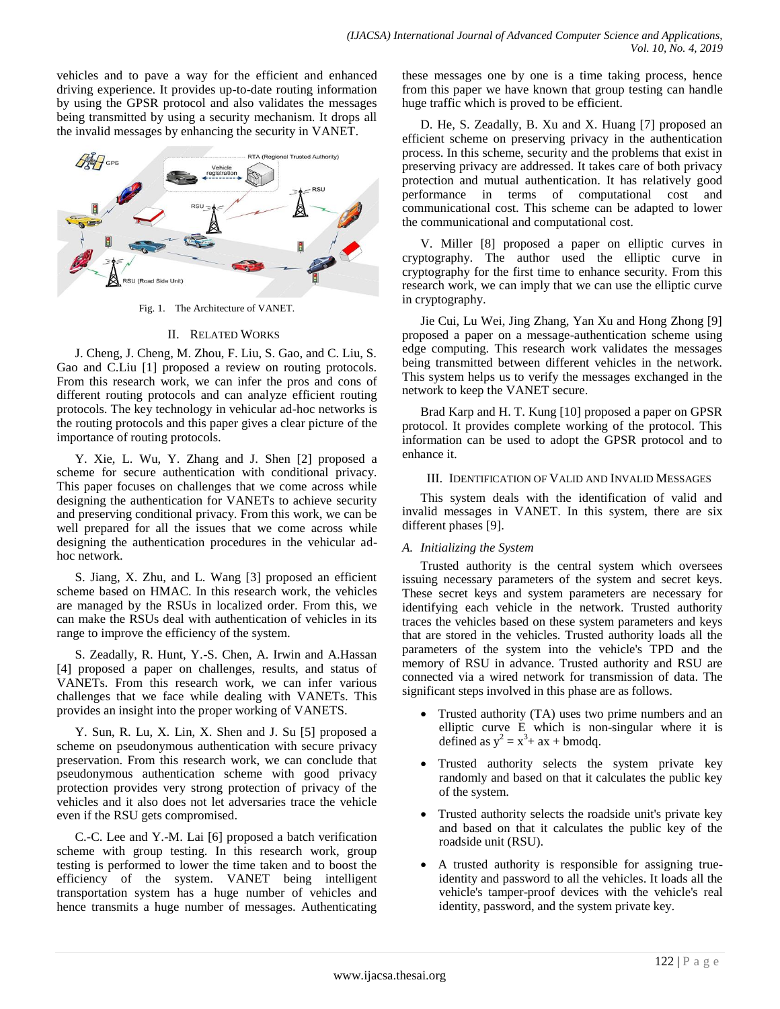vehicles and to pave a way for the efficient and enhanced driving experience. It provides up-to-date routing information by using the GPSR protocol and also validates the messages being transmitted by using a security mechanism. It drops all the invalid messages by enhancing the security in VANET.



Fig. 1. The Architecture of VANET.

#### II. RELATED WORKS

J. Cheng, J. Cheng, M. Zhou, F. Liu, S. Gao, and C. Liu, S. Gao and C.Liu [1] proposed a review on routing protocols. From this research work, we can infer the pros and cons of different routing protocols and can analyze efficient routing protocols. The key technology in vehicular ad-hoc networks is the routing protocols and this paper gives a clear picture of the importance of routing protocols.

Y. Xie, L. Wu, Y. Zhang and J. Shen [2] proposed a scheme for secure authentication with conditional privacy. This paper focuses on challenges that we come across while designing the authentication for VANETs to achieve security and preserving conditional privacy. From this work, we can be well prepared for all the issues that we come across while designing the authentication procedures in the vehicular adhoc network.

S. Jiang, X. Zhu, and L. Wang [3] proposed an efficient scheme based on HMAC. In this research work, the vehicles are managed by the RSUs in localized order. From this, we can make the RSUs deal with authentication of vehicles in its range to improve the efficiency of the system.

S. Zeadally, R. Hunt, Y.-S. Chen, A. Irwin and A.Hassan [4] proposed a paper on challenges, results, and status of VANETs. From this research work, we can infer various challenges that we face while dealing with VANETs. This provides an insight into the proper working of VANETS.

Y. Sun, R. Lu, X. Lin, X. Shen and J. Su [5] proposed a scheme on pseudonymous authentication with secure privacy preservation. From this research work, we can conclude that pseudonymous authentication scheme with good privacy protection provides very strong protection of privacy of the vehicles and it also does not let adversaries trace the vehicle even if the RSU gets compromised.

C.-C. Lee and Y.-M. Lai [6] proposed a batch verification scheme with group testing. In this research work, group testing is performed to lower the time taken and to boost the efficiency of the system. VANET being intelligent transportation system has a huge number of vehicles and hence transmits a huge number of messages. Authenticating these messages one by one is a time taking process, hence from this paper we have known that group testing can handle huge traffic which is proved to be efficient.

D. He, S. Zeadally, B. Xu and X. Huang [7] proposed an efficient scheme on preserving privacy in the authentication process. In this scheme, security and the problems that exist in preserving privacy are addressed. It takes care of both privacy protection and mutual authentication. It has relatively good performance in terms of computational cost and communicational cost. This scheme can be adapted to lower the communicational and computational cost.

V. Miller [8] proposed a paper on elliptic curves in cryptography. The author used the elliptic curve in cryptography for the first time to enhance security. From this research work, we can imply that we can use the elliptic curve in cryptography.

Jie Cui, Lu Wei, Jing Zhang, Yan Xu and Hong Zhong [9] proposed a paper on a message-authentication scheme using edge computing. This research work validates the messages being transmitted between different vehicles in the network. This system helps us to verify the messages exchanged in the network to keep the VANET secure.

Brad Karp and H. T. Kung [10] proposed a paper on GPSR protocol. It provides complete working of the protocol. This information can be used to adopt the GPSR protocol and to enhance it.

#### III. IDENTIFICATION OF VALID AND INVALID MESSAGES

This system deals with the identification of valid and invalid messages in VANET. In this system, there are six different phases [9].

## *A. Initializing the System*

Trusted authority is the central system which oversees issuing necessary parameters of the system and secret keys. These secret keys and system parameters are necessary for identifying each vehicle in the network. Trusted authority traces the vehicles based on these system parameters and keys that are stored in the vehicles. Trusted authority loads all the parameters of the system into the vehicle's TPD and the memory of RSU in advance. Trusted authority and RSU are connected via a wired network for transmission of data. The significant steps involved in this phase are as follows.

- Trusted authority (TA) uses two prime numbers and an elliptic curve E which is non-singular where it is defined as  $y^2 = x^3 + ax + b$ modq.
- Trusted authority selects the system private key randomly and based on that it calculates the public key of the system.
- Trusted authority selects the roadside unit's private key and based on that it calculates the public key of the roadside unit (RSU).
- A trusted authority is responsible for assigning trueidentity and password to all the vehicles. It loads all the vehicle's tamper-proof devices with the vehicle's real identity, password, and the system private key.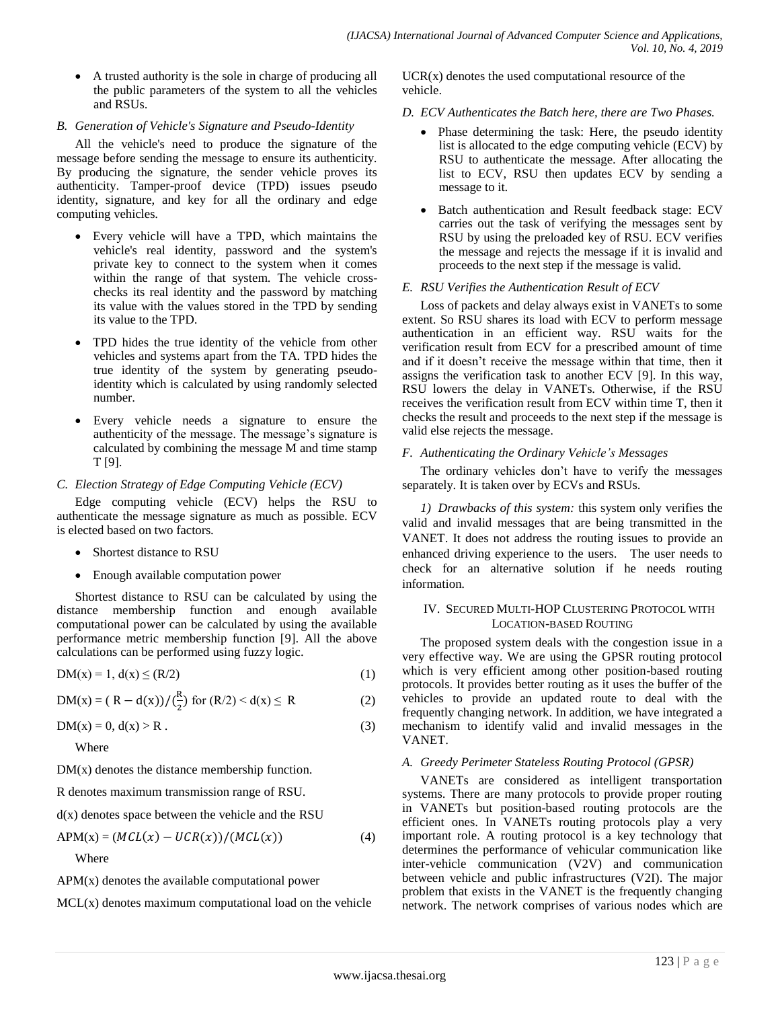A trusted authority is the sole in charge of producing all the public parameters of the system to all the vehicles and RSUs.

#### *B. Generation of Vehicle's Signature and Pseudo-Identity*

All the vehicle's need to produce the signature of the message before sending the message to ensure its authenticity. By producing the signature, the sender vehicle proves its authenticity. Tamper-proof device (TPD) issues pseudo identity, signature, and key for all the ordinary and edge computing vehicles.

- Every vehicle will have a TPD, which maintains the vehicle's real identity, password and the system's private key to connect to the system when it comes within the range of that system. The vehicle crosschecks its real identity and the password by matching its value with the values stored in the TPD by sending its value to the TPD.
- TPD hides the true identity of the vehicle from other vehicles and systems apart from the TA. TPD hides the true identity of the system by generating pseudoidentity which is calculated by using randomly selected number.
- Every vehicle needs a signature to ensure the authenticity of the message. The message's signature is calculated by combining the message M and time stamp T [9].

#### *C. Election Strategy of Edge Computing Vehicle (ECV)*

Edge computing vehicle (ECV) helps the RSU to authenticate the message signature as much as possible. ECV is elected based on two factors.

- Shortest distance to RSU
- Enough available computation power

Shortest distance to RSU can be calculated by using the distance membership function and enough available computational power can be calculated by using the available performance metric membership function [9]. All the above calculations can be performed using fuzzy logic.

$$
DM(x) = 1, d(x) \le (R/2)
$$
 (1)

 $DM(x) = (R - d(x))/(\frac{R}{a})$  $\frac{\pi}{2}$ ) for (R/2) < d(x)  $\le$  R (2)

$$
DM(x) = 0, d(x) > R.
$$
 (3)

Where

 $DM(x)$  denotes the distance membership function.

R denotes maximum transmission range of RSU.

 $d(x)$  denotes space between the vehicle and the RSU

$$
APM(x) = (MCL(x) - UCR(x))/(MCL(x))
$$
\n(4)

Where

APM(x) denotes the available computational power

MCL(x) denotes maximum computational load on the vehicle

 $UCR(x)$  denotes the used computational resource of the vehicle.

## *D. ECV Authenticates the Batch here, there are Two Phases.*

- Phase determining the task: Here, the pseudo identity list is allocated to the edge computing vehicle (ECV) by RSU to authenticate the message. After allocating the list to ECV, RSU then updates ECV by sending a message to it.
- Batch authentication and Result feedback stage: ECV carries out the task of verifying the messages sent by RSU by using the preloaded key of RSU. ECV verifies the message and rejects the message if it is invalid and proceeds to the next step if the message is valid.

## *E. RSU Verifies the Authentication Result of ECV*

Loss of packets and delay always exist in VANETs to some extent. So RSU shares its load with ECV to perform message authentication in an efficient way. RSU waits for the verification result from ECV for a prescribed amount of time and if it doesn't receive the message within that time, then it assigns the verification task to another ECV [9]. In this way, RSU lowers the delay in VANETs. Otherwise, if the RSU receives the verification result from ECV within time T, then it checks the result and proceeds to the next step if the message is valid else rejects the message.

#### *F. Authenticating the Ordinary Vehicle's Messages*

The ordinary vehicles don't have to verify the messages separately. It is taken over by ECVs and RSUs.

*1) Drawbacks of this system:* this system only verifies the valid and invalid messages that are being transmitted in the VANET. It does not address the routing issues to provide an enhanced driving experience to the users. The user needs to check for an alternative solution if he needs routing information.

#### IV. SECURED MULTI-HOP CLUSTERING PROTOCOL WITH LOCATION-BASED ROUTING

The proposed system deals with the congestion issue in a very effective way. We are using the GPSR routing protocol which is very efficient among other position-based routing protocols. It provides better routing as it uses the buffer of the vehicles to provide an updated route to deal with the frequently changing network. In addition, we have integrated a mechanism to identify valid and invalid messages in the VANET.

#### *A. Greedy Perimeter Stateless Routing Protocol (GPSR)*

VANETs are considered as intelligent transportation systems. There are many protocols to provide proper routing in VANETs but position-based routing protocols are the efficient ones. In VANETs routing protocols play a very important role. A routing protocol is a key technology that determines the performance of vehicular communication like inter-vehicle communication (V2V) and communication between vehicle and public infrastructures (V2I). The major problem that exists in the VANET is the frequently changing network. The network comprises of various nodes which are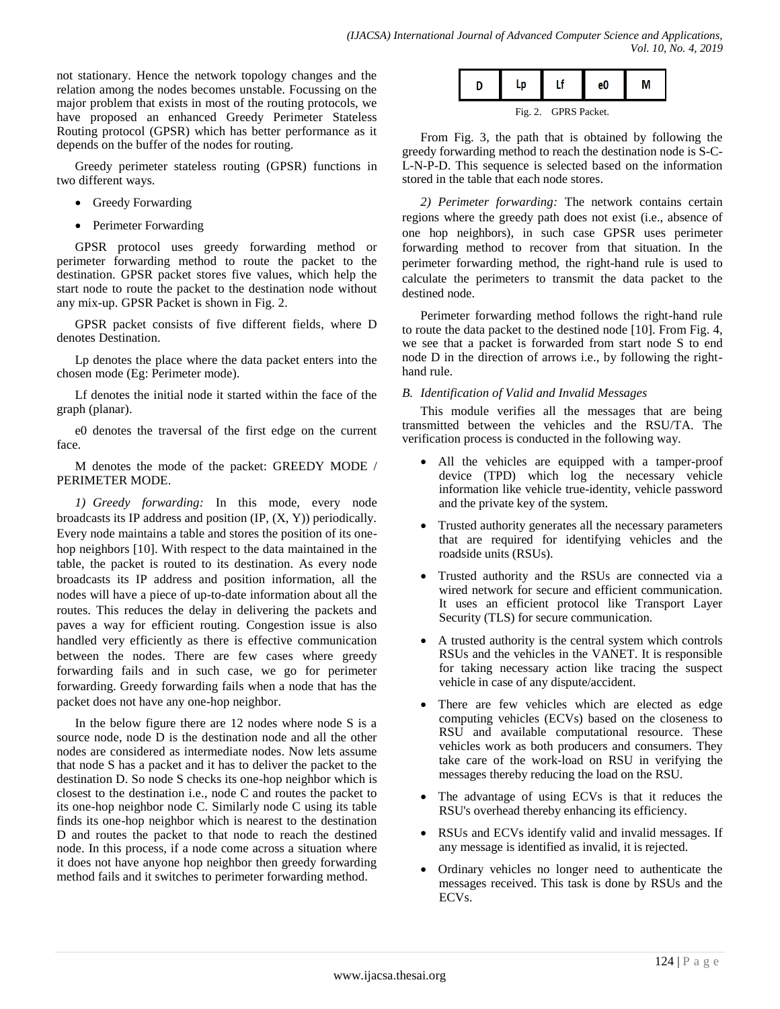not stationary. Hence the network topology changes and the relation among the nodes becomes unstable. Focussing on the major problem that exists in most of the routing protocols, we have proposed an enhanced Greedy Perimeter Stateless Routing protocol (GPSR) which has better performance as it depends on the buffer of the nodes for routing.

Greedy perimeter stateless routing (GPSR) functions in two different ways.

- Greedy Forwarding
- Perimeter Forwarding

GPSR protocol uses greedy forwarding method or perimeter forwarding method to route the packet to the destination. GPSR packet stores five values, which help the start node to route the packet to the destination node without any mix-up. GPSR Packet is shown in Fig. 2.

GPSR packet consists of five different fields, where D denotes Destination.

Lp denotes the place where the data packet enters into the chosen mode (Eg: Perimeter mode).

Lf denotes the initial node it started within the face of the graph (planar).

e0 denotes the traversal of the first edge on the current face.

M denotes the mode of the packet: GREEDY MODE / PERIMETER MODE.

*1) Greedy forwarding:* In this mode, every node broadcasts its IP address and position (IP, (X, Y)) periodically. Every node maintains a table and stores the position of its onehop neighbors [10]. With respect to the data maintained in the table, the packet is routed to its destination. As every node broadcasts its IP address and position information, all the nodes will have a piece of up-to-date information about all the routes. This reduces the delay in delivering the packets and paves a way for efficient routing. Congestion issue is also handled very efficiently as there is effective communication between the nodes. There are few cases where greedy forwarding fails and in such case, we go for perimeter forwarding. Greedy forwarding fails when a node that has the packet does not have any one-hop neighbor.

In the below figure there are 12 nodes where node S is a source node, node D is the destination node and all the other nodes are considered as intermediate nodes. Now lets assume that node S has a packet and it has to deliver the packet to the destination D. So node S checks its one-hop neighbor which is closest to the destination i.e., node C and routes the packet to its one-hop neighbor node C. Similarly node C using its table finds its one-hop neighbor which is nearest to the destination D and routes the packet to that node to reach the destined node. In this process, if a node come across a situation where it does not have anyone hop neighbor then greedy forwarding method fails and it switches to perimeter forwarding method.

|  |  |  | -- |  |  |  |
|--|--|--|----|--|--|--|
|--|--|--|----|--|--|--|

Fig. 2. GPRS Packet.

From Fig. 3, the path that is obtained by following the greedy forwarding method to reach the destination node is S-C-L-N-P-D. This sequence is selected based on the information stored in the table that each node stores.

*2) Perimeter forwarding:* The network contains certain regions where the greedy path does not exist (i.e., absence of one hop neighbors), in such case GPSR uses perimeter forwarding method to recover from that situation. In the perimeter forwarding method, the right-hand rule is used to calculate the perimeters to transmit the data packet to the destined node.

Perimeter forwarding method follows the right-hand rule to route the data packet to the destined node [10]. From Fig. 4, we see that a packet is forwarded from start node S to end node D in the direction of arrows i.e., by following the righthand rule.

## *B. Identification of Valid and Invalid Messages*

This module verifies all the messages that are being transmitted between the vehicles and the RSU/TA. The verification process is conducted in the following way.

- All the vehicles are equipped with a tamper-proof device (TPD) which log the necessary vehicle information like vehicle true-identity, vehicle password and the private key of the system.
- Trusted authority generates all the necessary parameters that are required for identifying vehicles and the roadside units (RSUs).
- Trusted authority and the RSUs are connected via a wired network for secure and efficient communication. It uses an efficient protocol like Transport Layer Security (TLS) for secure communication.
- A trusted authority is the central system which controls RSUs and the vehicles in the VANET. It is responsible for taking necessary action like tracing the suspect vehicle in case of any dispute/accident.
- There are few vehicles which are elected as edge computing vehicles (ECVs) based on the closeness to RSU and available computational resource. These vehicles work as both producers and consumers. They take care of the work-load on RSU in verifying the messages thereby reducing the load on the RSU.
- The advantage of using ECVs is that it reduces the RSU's overhead thereby enhancing its efficiency.
- RSUs and ECVs identify valid and invalid messages. If any message is identified as invalid, it is rejected.
- Ordinary vehicles no longer need to authenticate the messages received. This task is done by RSUs and the ECVs.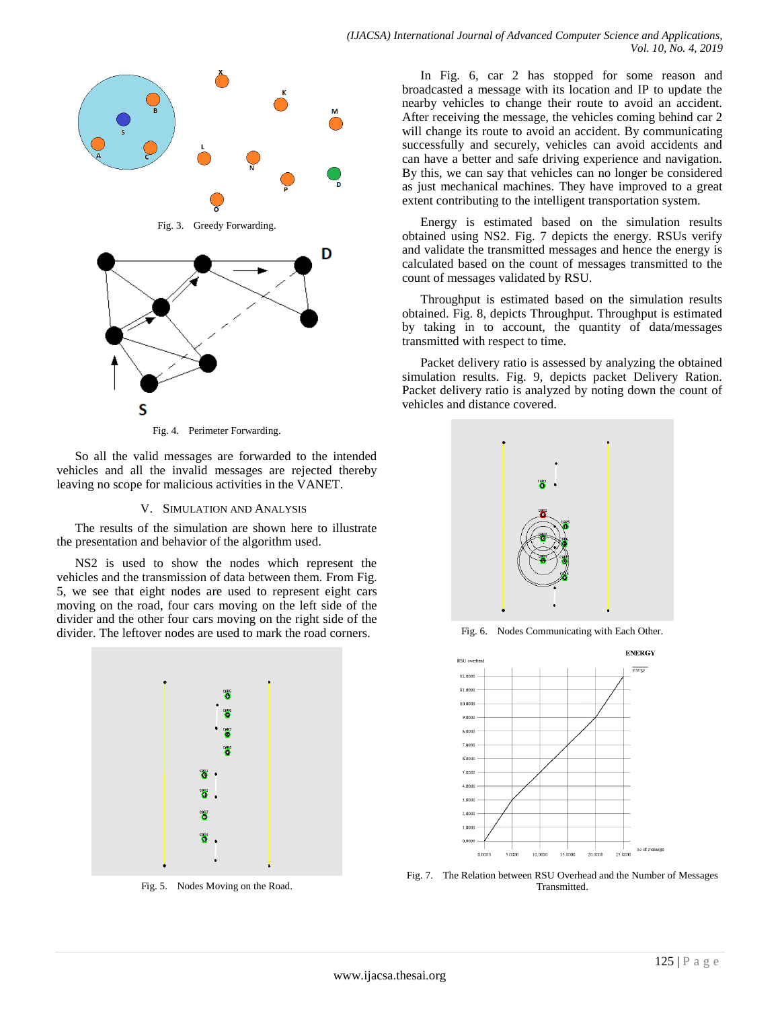

Fig. 4. Perimeter Forwarding.

So all the valid messages are forwarded to the intended vehicles and all the invalid messages are rejected thereby leaving no scope for malicious activities in the VANET.

#### V. SIMULATION AND ANALYSIS

The results of the simulation are shown here to illustrate the presentation and behavior of the algorithm used.

NS2 is used to show the nodes which represent the vehicles and the transmission of data between them. From Fig. 5, we see that eight nodes are used to represent eight cars moving on the road, four cars moving on the left side of the divider and the other four cars moving on the right side of the divider. The leftover nodes are used to mark the road corners.



Fig. 5. Nodes Moving on the Road.

In Fig. 6, car 2 has stopped for some reason and broadcasted a message with its location and IP to update the nearby vehicles to change their route to avoid an accident. After receiving the message, the vehicles coming behind car 2 will change its route to avoid an accident. By communicating successfully and securely, vehicles can avoid accidents and can have a better and safe driving experience and navigation. By this, we can say that vehicles can no longer be considered as just mechanical machines. They have improved to a great extent contributing to the intelligent transportation system.

Energy is estimated based on the simulation results obtained using NS2. Fig. 7 depicts the energy. RSUs verify and validate the transmitted messages and hence the energy is calculated based on the count of messages transmitted to the count of messages validated by RSU.

Throughput is estimated based on the simulation results obtained. Fig. 8, depicts Throughput. Throughput is estimated by taking in to account, the quantity of data/messages transmitted with respect to time.

Packet delivery ratio is assessed by analyzing the obtained simulation results. Fig. 9, depicts packet Delivery Ration. Packet delivery ratio is analyzed by noting down the count of vehicles and distance covered.



Fig. 6. Nodes Communicating with Each Other.



Fig. 7. The Relation between RSU Overhead and the Number of Messages Transmitted.